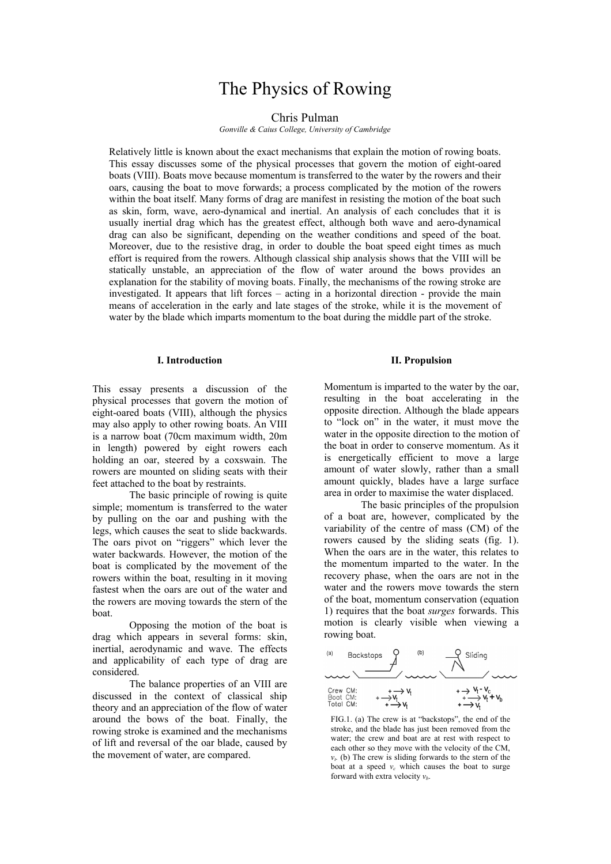# The Physics of Rowing

## Chris Pulman

*Gonville & Caius College, University of Cambridge*

Relatively little is known about the exact mechanisms that explain the motion of rowing boats. This essay discusses some of the physical processes that govern the motion of eight-oared boats (VIII). Boats move because momentum is transferred to the water by the rowers and their oars, causing the boat to move forwards; a process complicated by the motion of the rowers within the boat itself. Many forms of drag are manifest in resisting the motion of the boat such as skin, form, wave, aero-dynamical and inertial. An analysis of each concludes that it is usually inertial drag which has the greatest effect, although both wave and aero-dynamical drag can also be significant, depending on the weather conditions and speed of the boat. Moreover, due to the resistive drag, in order to double the boat speed eight times as much effort is required from the rowers. Although classical ship analysis shows that the VIII will be statically unstable, an appreciation of the flow of water around the bows provides an explanation for the stability of moving boats. Finally, the mechanisms of the rowing stroke are investigated. It appears that lift forces – acting in a horizontal direction - provide the main means of acceleration in the early and late stages of the stroke, while it is the movement of water by the blade which imparts momentum to the boat during the middle part of the stroke.

#### **I. Introduction**

This essay presents a discussion of the physical processes that govern the motion of eight-oared boats (VIII), although the physics may also apply to other rowing boats. An VIII is a narrow boat (70cm maximum width, 20m in length) powered by eight rowers each holding an oar, steered by a coxswain. The rowers are mounted on sliding seats with their feet attached to the boat by restraints.

The basic principle of rowing is quite simple; momentum is transferred to the water by pulling on the oar and pushing with the legs, which causes the seat to slide backwards. The oars pivot on "riggers" which lever the water backwards. However, the motion of the boat is complicated by the movement of the rowers within the boat, resulting in it moving fastest when the oars are out of the water and the rowers are moving towards the stern of the boat.

 Opposing the motion of the boat is drag which appears in several forms: skin, inertial, aerodynamic and wave. The effects and applicability of each type of drag are considered.

The balance properties of an VIII are discussed in the context of classical ship theory and an appreciation of the flow of water around the bows of the boat. Finally, the rowing stroke is examined and the mechanisms of lift and reversal of the oar blade, caused by the movement of water, are compared.

## **II. Propulsion**

Momentum is imparted to the water by the oar, resulting in the boat accelerating in the opposite direction. Although the blade appears to "lock on" in the water, it must move the water in the opposite direction to the motion of the boat in order to conserve momentum. As it is energetically efficient to move a large amount of water slowly, rather than a small amount quickly, blades have a large surface area in order to maximise the water displaced.

The basic principles of the propulsion of a boat are, however, complicated by the variability of the centre of mass (CM) of the rowers caused by the sliding seats (fig. 1). When the oars are in the water, this relates to the momentum imparted to the water. In the recovery phase, when the oars are not in the water and the rowers move towards the stern of the boat, momentum conservation (equation 1) requires that the boat *surges* forwards. This motion is clearly visible when viewing a rowing boat.



FIG.1. (a) The crew is at "backstops", the end of the stroke, and the blade has just been removed from the water; the crew and boat are at rest with respect to each other so they move with the velocity of the CM,  $v<sub>t</sub>$ . (b) The crew is sliding forwards to the stern of the boat at a speed  $v_c$  which causes the boat to surge forward with extra velocity *vb*.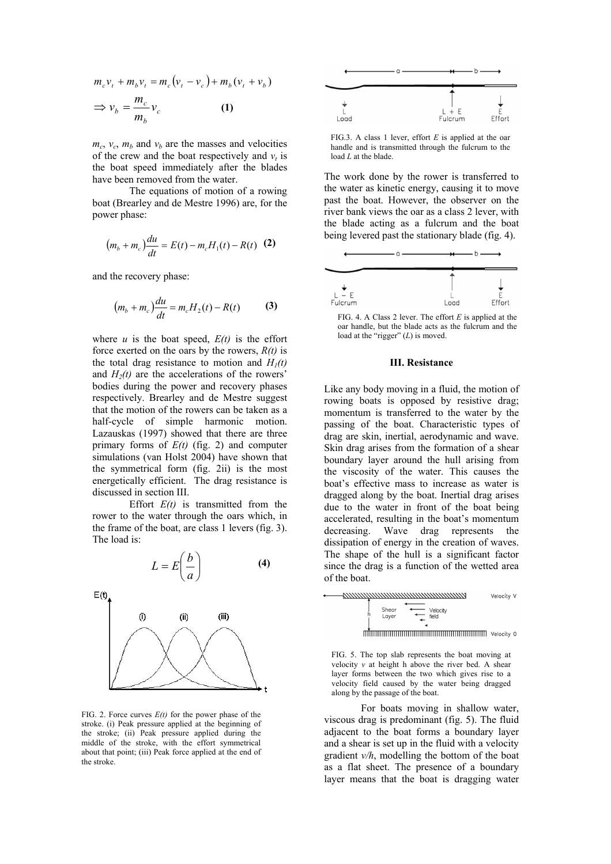$$
m_c v_t + m_b v_t = m_c (v_t - v_c) + m_b (v_t + v_b)
$$
  
\n
$$
\Rightarrow v_b = \frac{m_c}{m_b} v_c
$$
 (1)

 $m_c$ ,  $v_c$ ,  $m_b$  and  $v_b$  are the masses and velocities of the crew and the boat respectively and  $v_t$  is the boat speed immediately after the blades have been removed from the water.

 The equations of motion of a rowing boat (Brearley and de Mestre 1996) are, for the power phase:

$$
(m_b + m_c)\frac{du}{dt} = E(t) - m_c H_1(t) - R(t)
$$
 (2)

and the recovery phase:

$$
(m_b + m_c)\frac{du}{dt} = m_c H_2(t) - R(t)
$$
 (3)

where  $u$  is the boat speed,  $E(t)$  is the effort force exerted on the oars by the rowers, *R(t)* is the total drag resistance to motion and  $H_1(t)$ and  $H_2(t)$  are the accelerations of the rowers' bodies during the power and recovery phases respectively. Brearley and de Mestre suggest that the motion of the rowers can be taken as a half-cycle of simple harmonic motion. Lazauskas (1997) showed that there are three primary forms of *E(t)* (fig. 2) and computer simulations (van Holst 2004) have shown that the symmetrical form (fig. 2ii) is the most energetically efficient. The drag resistance is discussed in section III.

Effort  $E(t)$  is transmitted from the rower to the water through the oars which, in the frame of the boat, are class 1 levers (fig. 3). The load is:



FIG. 2. Force curves  $E(t)$  for the power phase of the stroke. (i) Peak pressure applied at the beginning of the stroke; (ii) Peak pressure applied during the middle of the stroke, with the effort symmetrical about that point; (iii) Peak force applied at the end of the stroke.



FIG.3. A class 1 lever, effort *E* is applied at the oar handle and is transmitted through the fulcrum to the load *L* at the blade.

The work done by the rower is transferred to the water as kinetic energy, causing it to move past the boat. However, the observer on the river bank views the oar as a class 2 lever, with the blade acting as a fulcrum and the boat being levered past the stationary blade (fig. 4).



FIG. 4. A Class 2 lever. The effort *E* is applied at the oar handle, but the blade acts as the fulcrum and the load at the "rigger" (*L*) is moved.

#### **III. Resistance**

Like any body moving in a fluid, the motion of rowing boats is opposed by resistive drag; momentum is transferred to the water by the passing of the boat. Characteristic types of drag are skin, inertial, aerodynamic and wave. Skin drag arises from the formation of a shear boundary layer around the hull arising from the viscosity of the water. This causes the boat's effective mass to increase as water is dragged along by the boat. Inertial drag arises due to the water in front of the boat being accelerated, resulting in the boat's momentum decreasing. Wave drag represents the dissipation of energy in the creation of waves. The shape of the hull is a significant factor since the drag is a function of the wetted area of the boat.



FIG. 5. The top slab represents the boat moving at velocity  $\nu$  at height h above the river bed. A shear layer forms between the two which gives rise to a velocity field caused by the water being dragged along by the passage of the boat.

For boats moving in shallow water, viscous drag is predominant (fig. 5). The fluid adjacent to the boat forms a boundary layer and a shear is set up in the fluid with a velocity gradient *v/h*, modelling the bottom of the boat as a flat sheet. The presence of a boundary layer means that the boat is dragging water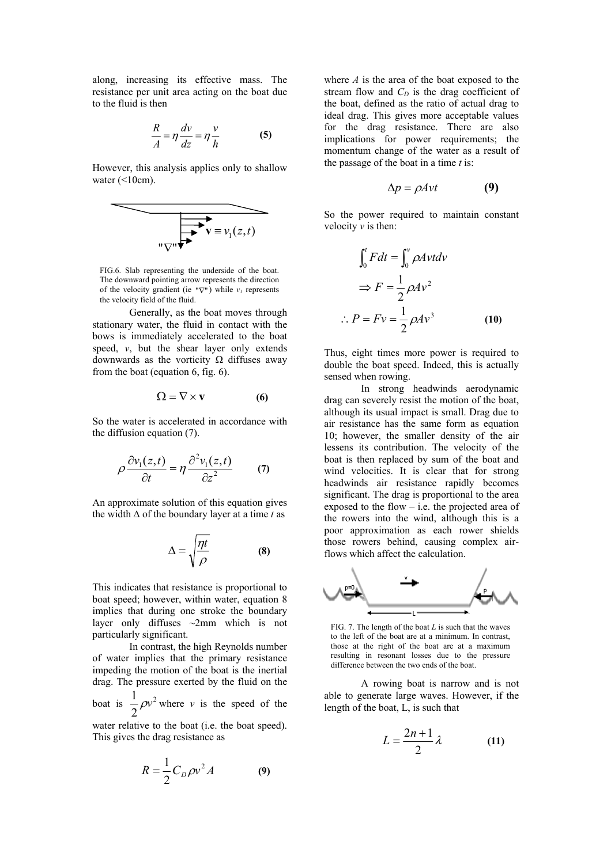along, increasing its effective mass. The resistance per unit area acting on the boat due to the fluid is then

$$
\frac{R}{A} = \eta \frac{dv}{dz} = \eta \frac{v}{h}
$$
 (5)

However, this analysis applies only to shallow water  $(\leq10cm)$ .

$$
\overbrace{\mathbf{v} \equiv v_1(z,t)}
$$

FIG.6. Slab representing the underside of the boat. The downward pointing arrow represents the direction of the velocity gradient (ie  $\forall \nabla$ ") while  $\nu_l$  represents the velocity field of the fluid.

Generally, as the boat moves through stationary water, the fluid in contact with the bows is immediately accelerated to the boat speed, *v*, but the shear layer only extends downwards as the vorticity Ω diffuses away from the boat (equation 6, fig. 6).

$$
\Omega = \nabla \times \mathbf{v} \tag{6}
$$

So the water is accelerated in accordance with the diffusion equation (7).

$$
\rho \frac{\partial v_1(z,t)}{\partial t} = \eta \frac{\partial^2 v_1(z,t)}{\partial z^2} \qquad (7)
$$

An approximate solution of this equation gives the width ∆ of the boundary layer at a time *t* as

$$
\Delta = \sqrt{\frac{\eta t}{\rho}} \tag{8}
$$

This indicates that resistance is proportional to boat speed; however, within water, equation 8 implies that during one stroke the boundary layer only diffuses ~2mm which is not particularly significant.

 In contrast, the high Reynolds number of water implies that the primary resistance impeding the motion of the boat is the inertial drag. The pressure exerted by the fluid on the boat is  $\frac{1}{2}\rho v^2$ 2  $\frac{1}{2}\rho v^2$  where *v* is the speed of the

water relative to the boat (i.e. the boat speed). This gives the drag resistance as

$$
R = \frac{1}{2}C_D \rho v^2 A \tag{9}
$$

where *A* is the area of the boat exposed to the stream flow and  $C_D$  is the drag coefficient of the boat, defined as the ratio of actual drag to ideal drag. This gives more acceptable values for the drag resistance. There are also implications for power requirements; the momentum change of the water as a result of the passage of the boat in a time *t* is:

$$
\Delta p = \rho A v t \tag{9}
$$

So the power required to maintain constant velocity *v* is then:

$$
\int_0^t Fdt = \int_0^v \rho A v t dv
$$
  
\n
$$
\Rightarrow F = \frac{1}{2} \rho A v^2
$$
  
\n
$$
\therefore P = Fv = \frac{1}{2} \rho A v^3
$$
 (10)

Thus, eight times more power is required to double the boat speed. Indeed, this is actually sensed when rowing.

In strong headwinds aerodynamic drag can severely resist the motion of the boat, although its usual impact is small. Drag due to air resistance has the same form as equation 10; however, the smaller density of the air lessens its contribution. The velocity of the boat is then replaced by sum of the boat and wind velocities. It is clear that for strong headwinds air resistance rapidly becomes significant. The drag is proportional to the area exposed to the flow – i.e. the projected area of the rowers into the wind, although this is a poor approximation as each rower shields those rowers behind, causing complex airflows which affect the calculation.



FIG. 7. The length of the boat *L* is such that the waves to the left of the boat are at a minimum. In contrast, those at the right of the boat are at a maximum resulting in resonant losses due to the pressure difference between the two ends of the boat.

A rowing boat is narrow and is not able to generate large waves. However, if the length of the boat, L, is such that

$$
L = \frac{2n+1}{2}\lambda\tag{11}
$$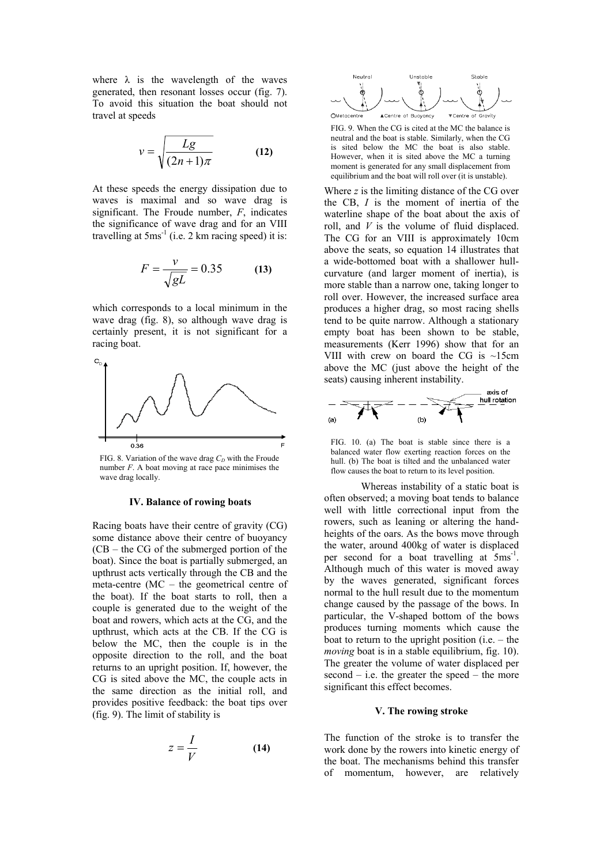where  $\lambda$  is the wavelength of the waves generated, then resonant losses occur (fig. 7). To avoid this situation the boat should not travel at speeds

$$
v = \sqrt{\frac{Lg}{(2n+1)\pi}}
$$
 (12)

At these speeds the energy dissipation due to waves is maximal and so wave drag is significant. The Froude number, *F*, indicates the significance of wave drag and for an VIII travelling at  $5ms<sup>-1</sup>$  (i.e. 2 km racing speed) it is:

$$
F = \frac{v}{\sqrt{gL}} = 0.35\tag{13}
$$

which corresponds to a local minimum in the wave drag (fig. 8), so although wave drag is certainly present, it is not significant for a racing boat.



FIG. 8. Variation of the wave drag  $C<sub>D</sub>$  with the Froude number *F*. A boat moving at race pace minimises the wave drag locally.

## **IV. Balance of rowing boats**

Racing boats have their centre of gravity (CG) some distance above their centre of buoyancy (CB – the CG of the submerged portion of the boat). Since the boat is partially submerged, an upthrust acts vertically through the CB and the meta-centre (MC – the geometrical centre of the boat). If the boat starts to roll, then a couple is generated due to the weight of the boat and rowers, which acts at the CG, and the upthrust, which acts at the CB. If the CG is below the MC, then the couple is in the opposite direction to the roll, and the boat returns to an upright position. If, however, the CG is sited above the MC, the couple acts in the same direction as the initial roll, and provides positive feedback: the boat tips over (fig. 9). The limit of stability is

$$
z = \frac{I}{V} \tag{14}
$$



FIG. 9. When the CG is cited at the MC the balance is neutral and the boat is stable. Similarly, when the CG is sited below the MC the boat is also stable. However, when it is sited above the MC a turning moment is generated for any small displacement from equilibrium and the boat will roll over (it is unstable).

Where *z* is the limiting distance of the CG over the CB, *I* is the moment of inertia of the waterline shape of the boat about the axis of roll, and *V* is the volume of fluid displaced. The CG for an VIII is approximately 10cm above the seats, so equation 14 illustrates that a wide-bottomed boat with a shallower hullcurvature (and larger moment of inertia), is more stable than a narrow one, taking longer to roll over. However, the increased surface area produces a higher drag, so most racing shells tend to be quite narrow. Although a stationary empty boat has been shown to be stable, measurements (Kerr 1996) show that for an VIII with crew on board the CG is ~15cm above the MC (just above the height of the seats) causing inherent instability.



FIG. 10. (a) The boat is stable since there is a balanced water flow exerting reaction forces on the hull. (b) The boat is tilted and the unbalanced water flow causes the boat to return to its level position.

 Whereas instability of a static boat is often observed; a moving boat tends to balance well with little correctional input from the rowers, such as leaning or altering the handheights of the oars. As the bows move through the water, around 400kg of water is displaced per second for a boat travelling at  $5ms^{-1}$ . Although much of this water is moved away by the waves generated, significant forces normal to the hull result due to the momentum change caused by the passage of the bows. In particular, the V-shaped bottom of the bows produces turning moments which cause the boat to return to the upright position (i.e. – the *moving* boat is in a stable equilibrium, fig. 10). The greater the volume of water displaced per  $second - i.e.$  the greater the speed – the more significant this effect becomes.

### **V. The rowing stroke**

The function of the stroke is to transfer the work done by the rowers into kinetic energy of the boat. The mechanisms behind this transfer of momentum, however, are relatively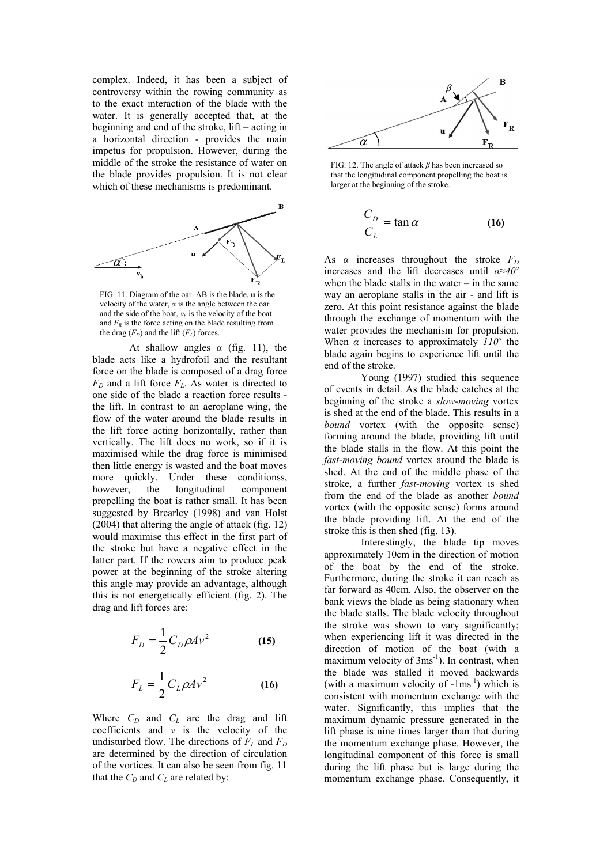complex. Indeed, it has been a subject of controversy within the rowing community as to the exact interaction of the blade with the water. It is generally accepted that, at the beginning and end of the stroke, lift – acting in a horizontal direction - provides the main impetus for propulsion. However, during the middle of the stroke the resistance of water on the blade provides propulsion. It is not clear which of these mechanisms is predominant.



FIG. 11. Diagram of the oar. AB is the blade, **u** is the velocity of the water,  $\alpha$  is the angle between the oar and the side of the boat,  $v_b$  is the velocity of the boat and  $F<sub>R</sub>$  is the force acting on the blade resulting from the drag  $(F_D)$  and the lift  $(F_L)$  forces.

At shallow angles  $\alpha$  (fig. 11), the blade acts like a hydrofoil and the resultant force on the blade is composed of a drag force  $F_D$  and a lift force  $F_L$ . As water is directed to one side of the blade a reaction force results the lift. In contrast to an aeroplane wing, the flow of the water around the blade results in the lift force acting horizontally, rather than vertically. The lift does no work, so if it is maximised while the drag force is minimised then little energy is wasted and the boat moves more quickly. Under these conditionss, however, the longitudinal component propelling the boat is rather small. It has been suggested by Brearley (1998) and van Holst (2004) that altering the angle of attack (fig. 12) would maximise this effect in the first part of the stroke but have a negative effect in the latter part. If the rowers aim to produce peak power at the beginning of the stroke altering this angle may provide an advantage, although this is not energetically efficient (fig. 2). The drag and lift forces are:

$$
F_D = \frac{1}{2} C_D \rho A v^2 \tag{15}
$$

$$
F_L = \frac{1}{2} C_L \rho A v^2 \tag{16}
$$

Where  $C_D$  and  $C_L$  are the drag and lift coefficients and *v* is the velocity of the undisturbed flow. The directions of  $F_L$  and  $F_D$ are determined by the direction of circulation of the vortices. It can also be seen from fig. 11 that the  $C_D$  and  $C_L$  are related by:



FIG. 12. The angle of attack *β* has been increased so that the longitudinal component propelling the boat is larger at the beginning of the stroke.

$$
\frac{C_D}{C_L} = \tan \alpha \tag{16}
$$

As  $\alpha$  increases throughout the stroke  $F_D$ increases and the lift decreases until *α≈40<sup>o</sup>* when the blade stalls in the water – in the same way an aeroplane stalls in the air - and lift is zero. At this point resistance against the blade through the exchange of momentum with the water provides the mechanism for propulsion. When  $\alpha$  increases to approximately  $110^{\circ}$  the blade again begins to experience lift until the end of the stroke.

 Young (1997) studied this sequence of events in detail. As the blade catches at the beginning of the stroke a *slow-moving* vortex is shed at the end of the blade. This results in a *bound* vortex (with the opposite sense) forming around the blade, providing lift until the blade stalls in the flow. At this point the *fast-moving bound* vortex around the blade is shed. At the end of the middle phase of the stroke, a further *fast-moving* vortex is shed from the end of the blade as another *bound* vortex (with the opposite sense) forms around the blade providing lift. At the end of the stroke this is then shed (fig. 13).

Interestingly, the blade tip moves approximately 10cm in the direction of motion of the boat by the end of the stroke. Furthermore, during the stroke it can reach as far forward as 40cm. Also, the observer on the bank views the blade as being stationary when the blade stalls. The blade velocity throughout the stroke was shown to vary significantly; when experiencing lift it was directed in the direction of motion of the boat (with a maximum velocity of 3ms<sup>-1</sup>). In contrast, when the blade was stalled it moved backwards (with a maximum velocity of  $-1ms^{-1}$ ) which is consistent with momentum exchange with the water. Significantly, this implies that the maximum dynamic pressure generated in the lift phase is nine times larger than that during the momentum exchange phase. However, the longitudinal component of this force is small during the lift phase but is large during the momentum exchange phase. Consequently, it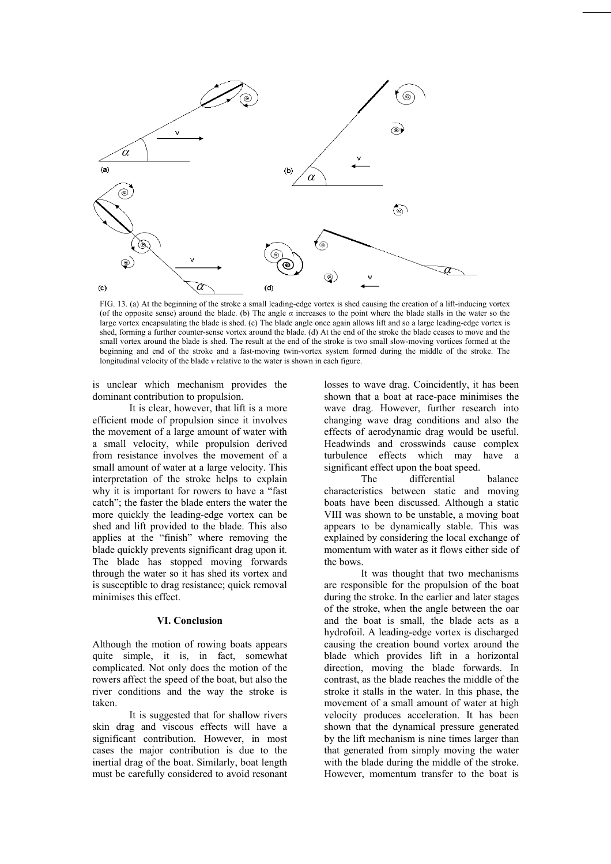

FIG. 13. (a) At the beginning of the stroke a small leading-edge vortex is shed causing the creation of a lift-inducing vortex (of the opposite sense) around the blade. (b) The angle  $\alpha$  increases to the point where the blade stalls in the water so the large vortex encapsulating the blade is shed. (c) The blade angle once again allows lift and so a large leading-edge vortex is shed, forming a further counter-sense vortex around the blade. (d) At the end of the stroke the blade ceases to move and the small vortex around the blade is shed. The result at the end of the stroke is two small slow-moving vortices formed at the beginning and end of the stroke and a fast-moving twin-vortex system formed during the middle of the stroke. The longitudinal velocity of the blade *v* relative to the water is shown in each figure.

is unclear which mechanism provides the dominant contribution to propulsion.

It is clear, however, that lift is a more efficient mode of propulsion since it involves the movement of a large amount of water with a small velocity, while propulsion derived from resistance involves the movement of a small amount of water at a large velocity. This interpretation of the stroke helps to explain why it is important for rowers to have a "fast" catch"; the faster the blade enters the water the more quickly the leading-edge vortex can be shed and lift provided to the blade. This also applies at the "finish" where removing the blade quickly prevents significant drag upon it. The blade has stopped moving forwards through the water so it has shed its vortex and is susceptible to drag resistance; quick removal minimises this effect.

#### **VI. Conclusion**

Although the motion of rowing boats appears quite simple, it is, in fact, somewhat complicated. Not only does the motion of the rowers affect the speed of the boat, but also the river conditions and the way the stroke is taken.

It is suggested that for shallow rivers skin drag and viscous effects will have a significant contribution. However, in most cases the major contribution is due to the inertial drag of the boat. Similarly, boat length must be carefully considered to avoid resonant losses to wave drag. Coincidently, it has been shown that a boat at race-pace minimises the wave drag. However, further research into changing wave drag conditions and also the effects of aerodynamic drag would be useful. Headwinds and crosswinds cause complex turbulence effects which may have a significant effect upon the boat speed.

The differential balance characteristics between static and moving boats have been discussed. Although a static VIII was shown to be unstable, a moving boat appears to be dynamically stable. This was explained by considering the local exchange of momentum with water as it flows either side of the bows.

It was thought that two mechanisms are responsible for the propulsion of the boat during the stroke. In the earlier and later stages of the stroke, when the angle between the oar and the boat is small, the blade acts as a hydrofoil. A leading-edge vortex is discharged causing the creation bound vortex around the blade which provides lift in a horizontal direction, moving the blade forwards. In contrast, as the blade reaches the middle of the stroke it stalls in the water. In this phase, the movement of a small amount of water at high velocity produces acceleration. It has been shown that the dynamical pressure generated by the lift mechanism is nine times larger than that generated from simply moving the water with the blade during the middle of the stroke. However, momentum transfer to the boat is